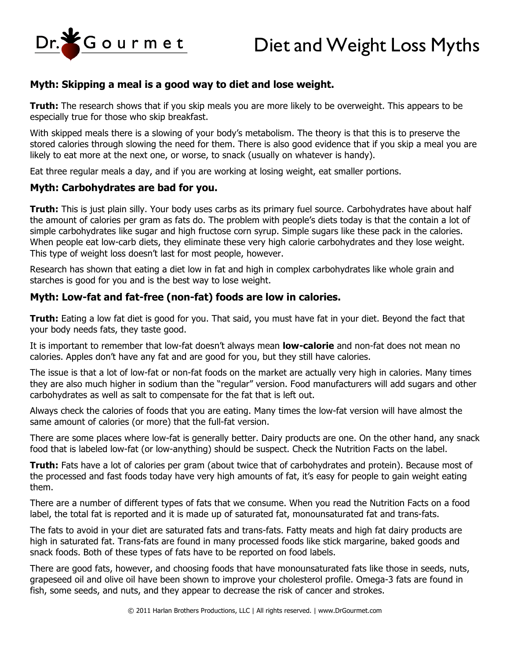Dr. Sourmet



# **Myth: Skipping a meal is a good way to diet and lose weight.**

**Truth:** The research shows that if you skip meals you are more likely to be overweight. This appears to be especially true for those who skip breakfast.

With skipped meals there is a slowing of your body's metabolism. The theory is that this is to preserve the stored calories through slowing the need for them. There is also good evidence that if you skip a meal you are likely to eat more at the next one, or worse, to snack (usually on whatever is handy).

Eat three regular meals a day, and if you are working at losing weight, eat smaller portions.

## **Myth: Carbohydrates are bad for you.**

**Truth:** This is just plain silly. Your body uses carbs as its primary fuel source. Carbohydrates have about half the amount of calories per gram as fats do. The problem with people's diets today is that the contain a lot of simple carbohydrates like sugar and high fructose corn syrup. Simple sugars like these pack in the calories. When people eat low-carb diets, they eliminate these very high calorie carbohydrates and they lose weight. This type of weight loss doesn't last for most people, however.

Research has shown that eating a diet low in fat and high in complex carbohydrates like whole grain and starches is good for you and is the best way to lose weight.

## **Myth: Low-fat and fat-free (non-fat) foods are low in calories.**

**Truth:** Eating a low fat diet is good for you. That said, you must have fat in your diet. Beyond the fact that your body needs fats, they taste good.

It is important to remember that low-fat doesn't always mean **low-calorie** and non-fat does not mean no calories. Apples don't have any fat and are good for you, but they still have calories.

The issue is that a lot of low-fat or non-fat foods on the market are actually very high in calories. Many times they are also much higher in sodium than the "regular" version. Food manufacturers will add sugars and other carbohydrates as well as salt to compensate for the fat that is left out.

Always check the calories of foods that you are eating. Many times the low-fat version will have almost the same amount of calories (or more) that the full-fat version.

There are some places where low-fat is generally better. Dairy products are one. On the other hand, any snack food that is labeled low-fat (or low-anything) should be suspect. Check the Nutrition Facts on the label.

**Truth:** Fats have a lot of calories per gram (about twice that of carbohydrates and protein). Because most of the processed and fast foods today have very high amounts of fat, it's easy for people to gain weight eating them.

There are a number of different types of fats that we consume. When you read the Nutrition Facts on a food label, the total fat is reported and it is made up of saturated fat, monounsaturated fat and trans-fats.

The fats to avoid in your diet are saturated fats and trans-fats. Fatty meats and high fat dairy products are high in saturated fat. Trans-fats are found in many processed foods like stick margarine, baked goods and snack foods. Both of these types of fats have to be reported on food labels.

There are good fats, however, and choosing foods that have monounsaturated fats like those in seeds, nuts, grapeseed oil and olive oil have been shown to improve your cholesterol profile. Omega-3 fats are found in fish, some seeds, and nuts, and they appear to decrease the risk of cancer and strokes.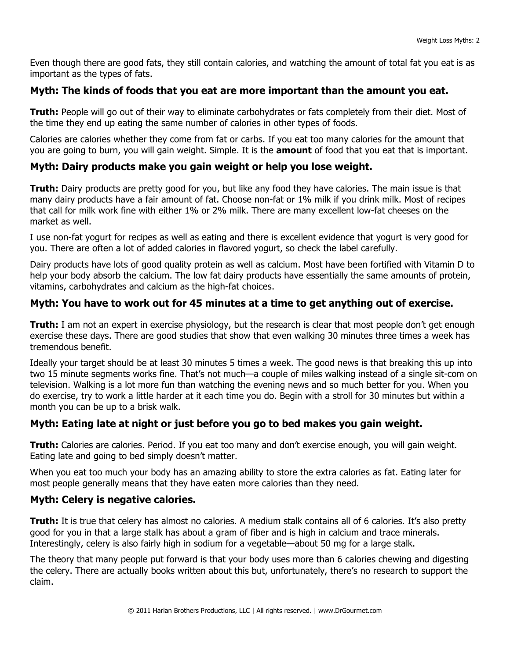Even though there are good fats, they still contain calories, and watching the amount of total fat you eat is as important as the types of fats.

## **Myth: The kinds of foods that you eat are more important than the amount you eat.**

**Truth:** People will go out of their way to eliminate carbohydrates or fats completely from their diet. Most of the time they end up eating the same number of calories in other types of foods.

Calories are calories whether they come from fat or carbs. If you eat too many calories for the amount that you are going to burn, you will gain weight. Simple. It is the **amount** of food that you eat that is important.

## **Myth: Dairy products make you gain weight or help you lose weight.**

**Truth:** Dairy products are pretty good for you, but like any food they have calories. The main issue is that many dairy products have a fair amount of fat. Choose non-fat or 1% milk if you drink milk. Most of recipes that call for milk work fine with either 1% or 2% milk. There are many excellent low-fat cheeses on the market as well.

I use non-fat yogurt for recipes as well as eating and there is excellent evidence that yogurt is very good for you. There are often a lot of added calories in flavored yogurt, so check the label carefully.

Dairy products have lots of good quality protein as well as calcium. Most have been fortified with Vitamin D to help your body absorb the calcium. The low fat dairy products have essentially the same amounts of protein, vitamins, carbohydrates and calcium as the high-fat choices.

## **Myth: You have to work out for 45 minutes at a time to get anything out of exercise.**

**Truth:** I am not an expert in exercise physiology, but the research is clear that most people don't get enough exercise these days. There are good studies that show that even walking 30 minutes three times a week has tremendous benefit.

Ideally your target should be at least 30 minutes 5 times a week. The good news is that breaking this up into two 15 minute segments works fine. That's not much—a couple of miles walking instead of a single sit-com on television. Walking is a lot more fun than watching the evening news and so much better for you. When you do exercise, try to work a little harder at it each time you do. Begin with a stroll for 30 minutes but within a month you can be up to a brisk walk.

## **Myth: Eating late at night or just before you go to bed makes you gain weight.**

**Truth:** Calories are calories. Period. If you eat too many and don't exercise enough, you will gain weight. Eating late and going to bed simply doesn't matter.

When you eat too much your body has an amazing ability to store the extra calories as fat. Eating later for most people generally means that they have eaten more calories than they need.

## **Myth: Celery is negative calories.**

**Truth:** It is true that celery has almost no calories. A medium stalk contains all of 6 calories. It's also pretty good for you in that a large stalk has about a gram of fiber and is high in calcium and trace minerals. Interestingly, celery is also fairly high in sodium for a vegetable—about 50 mg for a large stalk.

The theory that many people put forward is that your body uses more than 6 calories chewing and digesting the celery. There are actually books written about this but, unfortunately, there's no research to support the claim.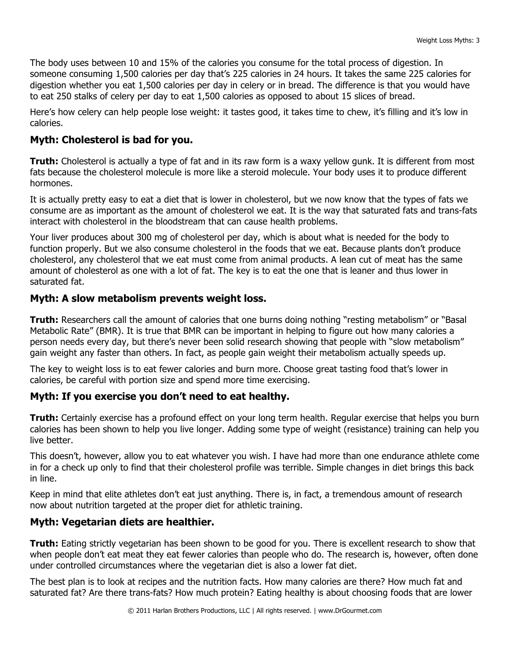The body uses between 10 and 15% of the calories you consume for the total process of digestion. In someone consuming 1,500 calories per day that's 225 calories in 24 hours. It takes the same 225 calories for digestion whether you eat 1,500 calories per day in celery or in bread. The difference is that you would have to eat 250 stalks of celery per day to eat 1,500 calories as opposed to about 15 slices of bread.

Here's how celery can help people lose weight: it tastes good, it takes time to chew, it's filling and it's low in calories.

## **Myth: Cholesterol is bad for you.**

**Truth:** Cholesterol is actually a type of fat and in its raw form is a waxy yellow gunk. It is different from most fats because the cholesterol molecule is more like a steroid molecule. Your body uses it to produce different hormones.

It is actually pretty easy to eat a diet that is lower in cholesterol, but we now know that the types of fats we consume are as important as the amount of cholesterol we eat. It is the way that saturated fats and trans-fats interact with cholesterol in the bloodstream that can cause health problems.

Your liver produces about 300 mg of cholesterol per day, which is about what is needed for the body to function properly. But we also consume cholesterol in the foods that we eat. Because plants don't produce cholesterol, any cholesterol that we eat must come from animal products. A lean cut of meat has the same amount of cholesterol as one with a lot of fat. The key is to eat the one that is leaner and thus lower in saturated fat.

## **Myth: A slow metabolism prevents weight loss.**

**Truth:** Researchers call the amount of calories that one burns doing nothing "resting metabolism" or "Basal Metabolic Rate" (BMR). It is true that BMR can be important in helping to figure out how many calories a person needs every day, but there's never been solid research showing that people with "slow metabolism" gain weight any faster than others. In fact, as people gain weight their metabolism actually speeds up.

The key to weight loss is to eat fewer calories and burn more. Choose great tasting food that's lower in calories, be careful with portion size and spend more time exercising.

## **Myth: If you exercise you don't need to eat healthy.**

**Truth:** Certainly exercise has a profound effect on your long term health. Regular exercise that helps you burn calories has been shown to help you live longer. Adding some type of weight (resistance) training can help you live better.

This doesn't, however, allow you to eat whatever you wish. I have had more than one endurance athlete come in for a check up only to find that their cholesterol profile was terrible. Simple changes in diet brings this back in line.

Keep in mind that elite athletes don't eat just anything. There is, in fact, a tremendous amount of research now about nutrition targeted at the proper diet for athletic training.

## **Myth: Vegetarian diets are healthier.**

**Truth:** Eating strictly vegetarian has been shown to be good for you. There is excellent research to show that when people don't eat meat they eat fewer calories than people who do. The research is, however, often done under controlled circumstances where the vegetarian diet is also a lower fat diet.

The best plan is to look at recipes and the nutrition facts. How many calories are there? How much fat and saturated fat? Are there trans-fats? How much protein? Eating healthy is about choosing foods that are lower